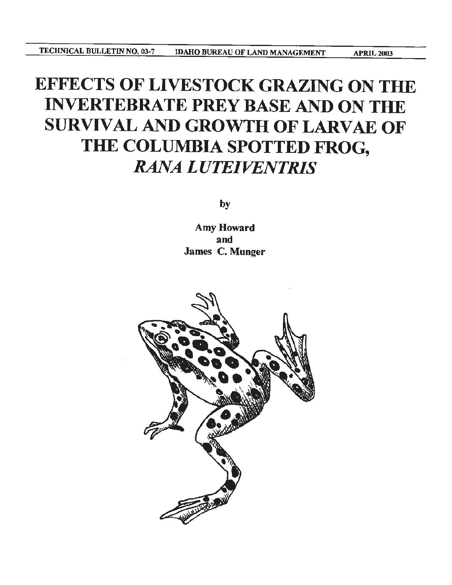# EFFECTS OF LIVESTOCK GRAZING ON THE INVERTEBRATE PREY BASE AND ON THE SURVIVAL AND GROWTH OF LARVAE OF THE COLUMBIA SPOTTED FROG, *RANA LUTE/VENTRIS*

by

Amy Howard and James C. Munger

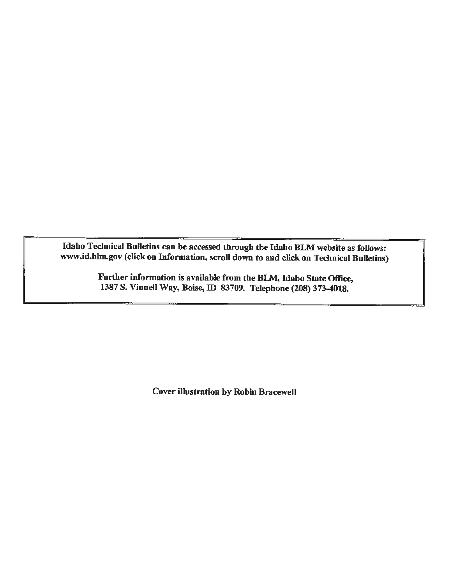Idaho Technical Bulletins can be accessed through the Idaho BLM website as follows: www.id.blm.gov (click on Information, scroll down to and click on Technical Bulletins)

> Further information is available from the BLM, Idaho State Office, 1387 S. VinneU Way, Boise, ID 83709. Telephone (208) 373-4018.

> > Cover illustration by Robin Bracewell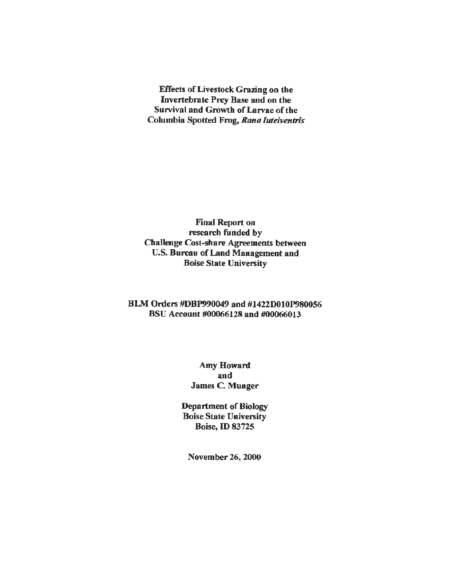Effects of Livestock Grazing on the Invertebrate Prey Base and on the Survival and Growth of Larvae of the Columbia Spotted Frog, *Rana luteiventris* 

Final Report on research funded by Challenge Cost-share Agreements between U.S. Bureau of Land Management and Boise State University

### BLM Orders #DBP990049 and #1422D010P980056 BSU Account #00066128 and #00066013

Amy Howard and James C. Munger

Department of Biology Boise State University Boise, ID 83725

November 26, 2000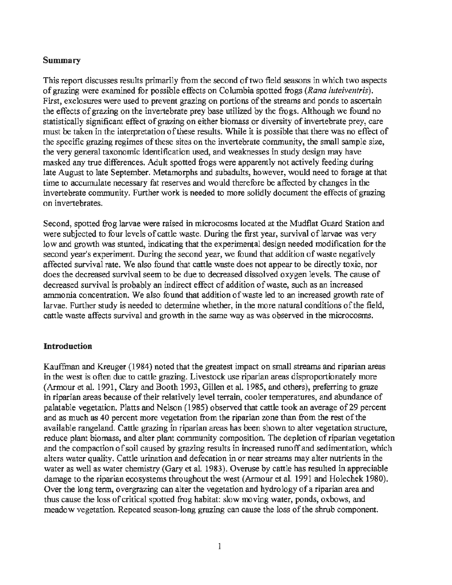#### **Summary**

This report discusses results primarily from the second of two field seasons in which two aspects of grazing were examined for possible effects on Columbia spotted frogs *(Rana luteiventris).*  First, exclosures were used to prevent grazing on portions of the streams and ponds to ascertain the effects of grazing on the invertebrate prey base utilized by the frogs. Although we found no statistically significant effect of grazing on either biomass or diversity of invertebrate prey, care must be taken in the interpretation of these results. While it is possible that there was no effect of the specific grazing regimes of these sites on the invertebrate community, the small sample size, the very general taxonomic identification used, and weaknesses in study design may have masked any true differences. Adult spotted frogs were apparently not actively feeding during late August to late September. Metamorphs and subadults, however, would need to forage at that time to accwnulate necessary fat reserves and would therefore be affected by changes in the invertebrate community. Further work is needed to more solidly document the effects of grazing on invertebrates.

Second, spotted frog larvae were raised in microcosms located at the Mudflat Guard Station and were subjected to four levels of cattle waste. During the first year, survival of larvae was very low and growth was stunted, indicating that the experimental design needed modification for the second year's experiment. During the second year, we found that addition of waste negatively affected survival rate. We also found that cattle waste does not appear to be directly toxic, nor does the decreased survival seem to be due to decreased dissolved oxygen levels. The cause of decreased survival is probably an indirect effect of addition of waste, such as an increased ammonia concentration. We also found that addition of waste led to an increased growth rate of larvae. Further study is needed to determine whether, in the more natural conditions of the field, cattle waste affects survival and growth in the same way as was observed in the microcosms.

### **Introduction**

Kauffman and Kreuger ( 1984) noted that the greatest impact on small streams and riparian areas in the west is often due to cattle grazing. Livestock use riparian areas disproportionately more (Armour et al. 1991, Clary and Booth 1993, Gillen et al. 1985, and others), preferring to graze in riparian areas because of their relatively level terrain, cooler temperatures, and abundance of palatable vegetation. Platts and Nelson (1985) observed that cattle took an average of29 percent and as much as 40 percent more vegetation from the riparian zone than from the rest of the available rangeland. Cattle grazing in riparian areas has been shown to alter vegetation structure, reduce plant biomass, and alter plant community composition. The depletion of riparian vegetation and the compaction of soil caused by grazing results in increased runoff and sedimentation, which alters water quality. Cattle urination and defecation in or near streams may alter nutrients in the water as well as water chemistry (Gary et al. 1983). Overuse by cattle has resulted in appreciable damage to the riparian ecosystems throughout the west (Armour et al. 1991 and Holechek 1980). Over the long term, overgrazing can alter the vegetation and hydrology of a riparian area and thus cause the loss of critical spotted frog habitat: slow moving water, ponds, oxbows, and meadow vegetation. Repeated season~long grazing can cause the loss of the shrub component.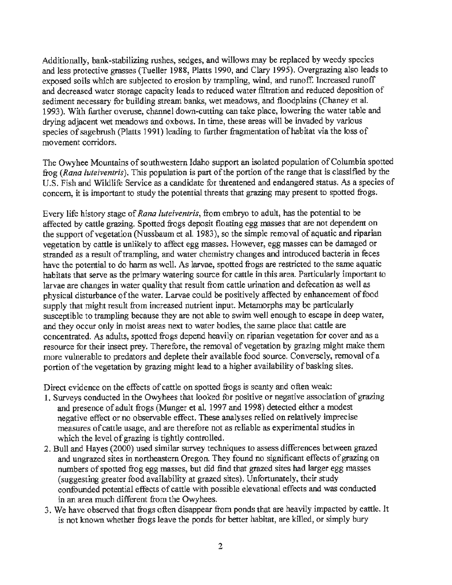Additionally, bank-stabilizing rushes, sedges, and willows may be replaced by weedy species and less protective grasses (Tueller 1988, Platts 1990, and Clary 1995). Overgrazing also leads to exposed soils which are subjected to erosion by trampling, wind, and runoff. Increased runoff and decreased water storage capacity leads to reduced water filtration and reduced deposition of sediment necessary for building stream banks, wet meadows, and floodplains (Chaney et al. 1993 ). With further overuse, channel down-cutting can take place, lowering the water table and drying adjacent wet meadows and oxbows. In time, these areas will be invaded by various species of sagebrush (Platts 1991) leading to further fragmentation of habitat via the loss of movement corridors.

The Owyhee Mountains of southwestern Idaho support an isolated population of Columbia spotted frog *(Rana luteiventris).* This population is part of the portion of the range that is classified by the U.S. Fish and Wildlife Service as a candidate for threatened and endangered status. *As* a species of concern, it is important to study the potential threats that grazing may present to spotted frogs.

Every **life** history stage of *Rana luteiventris,* from embryo to adult, has the potential to be affected by cattle grazing. Spotted frogs deposit floating egg masses that are not dependent on the support of vegetation (Nussbaum et al. 1983), so the simple removal of aquatic and riparian vegetation by cattle is unlikely to affect egg masses. However, egg masses can be damaged or stranded as a result of trampling, and water chemistry changes and introduced bacteria in feces have the potential to do harm as well. As larvae, spotted frogs are restricted to the same aquatic habitats that serve as the primary watering source for cattle in this area. Particularly important to larvae are changes in water quality that result from cattle urination and defecation as well as physical disturbance of the water. Larvae could be positively affected by enhancement of food supply that might result from increased nutrient input. Metamorphs may be particularly susceptible to trampling because they are not able to swim well enough to escape in deep water, and they occur only in moist areas next to water bodies, the same place that cattle are concentrated. As adults, spotted frogs depend heavily on riparian vegetation for cover and as a resource for their insect prey. Therefore, the removal of vegetation by grazing might make them more vulnerable to predators and deplete their available food source. Conversely, removal of a portion of the vegetation by grazing might lead to a higher availability of basking sites.

Direct evidence on the effects of cattle on spotted frogs is scanty and often weak:

- 1. Surveys conducted in the Owyhees that looked for positive or negative association of grazing and presence of adult frogs (Munger et al. 1997 and 1998) detected either a modest negative effect or no observable effect. These analyses relied on relatively imprecise measures of cattle usage, and are therefore not as reliable as experimental studies in which the level of grazing is tightly controlled.
- 2. Bull and Hayes (2000) used similar survey techniques to assess differences between grazed and ungrazed sites in northeastern Oregon. They found no significant effects of grazing on numbers of spotted frog egg masses, but did find that grazed sites had larger egg masses (suggesting greater food availability at grazed sites). Unfortunately, their study confounded potential effects of cattle with possible elevational effects and was conducted in an area much different from the Owyhees.
- 3. We have observed that frogs often disappear from ponds that are heavily impacted by cattle. It is not known whether frogs leave the ponds for better habitat, are killed, or simply bury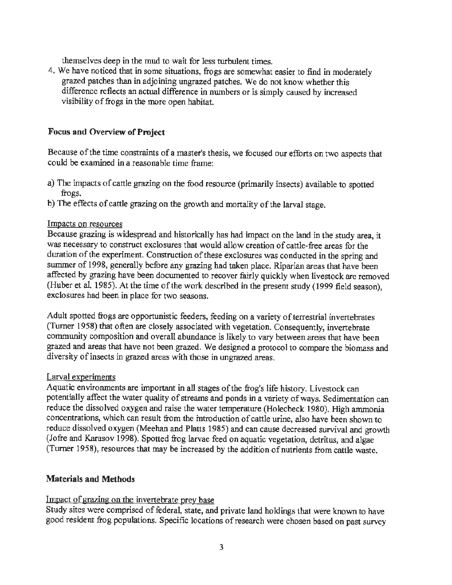themselves deep in the mud to wait for less turbulent times.

4. We have noticed that in some situations, frogs are somewhat easier to find in moderately grazed patches than in adjoining ungrazed patches. We do not know whether this difference reflects an actual difference in numbers or is simply caused by increased visibility of frogs in the more open habitat.

### **Focus and Overview of Project**

Because of the time constraints of a master's thesis, we focused our efforts on two aspects that could be examined in a reasonable time frame:

- a) The impacts of cattle grazing on the food resource (primarily insects) available to spotted frogs.
- b) The effects of cattle grazing on the growth and mortality of the larval stage.

#### Impacts on resources

Because grazing is widespread and historically has had impact on the land in the study area, it was necessary to construct exclosures that would allow creation of cattle-free areas for the duration of the experiment. Construction of these exclosures was conducted in the spring and summer of 1998, generally before any grazing had taken place. Riparian areas that have been affected by grazing have been documented to recover fairly quickly when livestock are removed (Huber et al. 1985). At the time of the work described in the present study (1999 field season), exclosures had been in place for two seasons.

Adult spotted frogs are opportunistic feeders, feeding on a variety of terrestrial invertebrates (Turner 1958) that often are closely associated with vegetation. Consequently, invertebrate community composition and overall abundance is likely to vary between areas that have been grazed and areas that have not been grazed. We designed a protocol to compare the biomass and diversity of insects in grazed areas with those in ungrazed areas.

#### Larval experiments

Aquatic environments are important in all stages of the frog's life history. Livestock can potentially affect the water quality of streams and ponds in a variety of ways. Sedimentation can reduce the dissolved oxygen and raise the water temperature (Holecheck 1980). High ammonia concentrations, which can result from the introduction of cattle urine, also have been shown to reduce dissolved oxygen (Meehan and **Platts** 1985) and can cause decreased survival and growth (Jofre and Karasov 1998). Spotted frog larvae feed on aquatic vegetation, detritus, and algae (Turner 1958), resources that may be increased by the addition of nutrients from cattle waste.

#### **Materials and Methods**

### Impact of grazing on the invertebrate prey base

Study sites were comprised of federal, state, and private land holdings that were known to have good resident frog populations. Specific locations of research were chosen based on past survey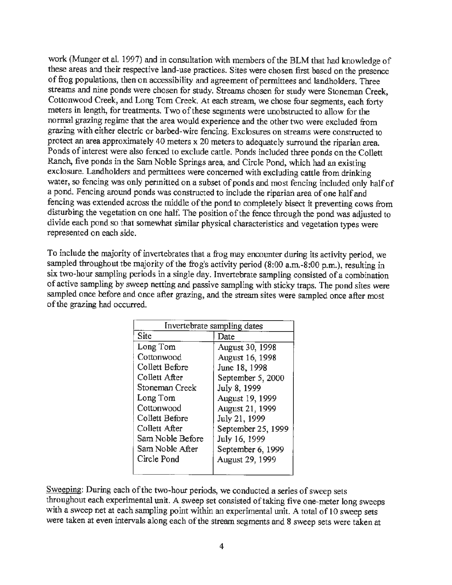work (Munger et al. 1997) and in consultation with members of the BLM that had knowledge of these areas and their respective land-use practices. Sites were chosen first based on the presence of frog populations, then on accessibility and agreement of permittees and landholders. Three streams and nine ponds were chosen for study. Streams chosen for study were Stoneman Creek, Cottonwood Creek, and Long Tom Creek. At each stream, we chose four segments, each forty meters in length, for treatments. Two of these segments were unobstructed to allow for the normal grazing regime that the area would experience and the other two were excluded from grazing with either electric or barbed-wire fencing. Exclosures on streams were constructed to protect an area approximately 40 meters x 20 meters to adequately surround the riparian area. Ponds of interest were also fenced to exclude cattle. Ponds included three ponds on the Collett Ranch, five ponds in the Sam Noble Springs area, and Circle Pond, which had an existing exclosure. Landholders and permittees were concerned with excluding cattle from drinking water, so fencing was only permitted on a subset of ponds and most fencing included only half of a pond. Fencing around ponds was constructed to include the riparian area of one half and fencing was extended across the middle of the pond to completely bisect it preventing cows from disturbing the vegetation on one half. The position of the fence through the pond was adjusted to divide each pond so that somewhat similar physical characteristics and vegetation types were represented on each side.

To include the majority of invertebrates that a frog may encounter during its activity period, we sampled throughout the majority of the frog's activity period  $(8:00 \text{ a.m.}-8:00 \text{ p.m.})$ , resulting in six two-hour sampling periods in a single day. Invertebrate sampling consisted of a combination of active sampling by sweep netting and passive sampling with sticky traps. The pond sites were sampled once before and once after grazing, and the stream sites were sampled once after most of the grazing had occurred.

| Invertebrate sampling dates |                        |  |
|-----------------------------|------------------------|--|
| Site                        | Date                   |  |
| Long Tom                    | <b>August 30, 1998</b> |  |
| Cottonwood                  | August 16, 1998        |  |
| Collett Before              | June 18, 1998          |  |
| Collett After               | September 5, 2000      |  |
| Stoneman Creek              | July 8, 1999           |  |
| Long Tom                    | August 19, 1999        |  |
| Cottonwood                  | August 21, 1999        |  |
| Collett Before              | July 21, 1999          |  |
| Collett After               | September 25, 1999     |  |
| Sam Noble Before            | July 16, 1999          |  |
| Sam Noble After             | September 6, 1999      |  |
| Circle Pond                 | August 29, 1999        |  |
|                             |                        |  |

Sweeping: During each of the two-hour periods, we conducted a series of sweep sets throughout each experimental unit. A sweep set consisted of taking five one-meter long sweeps with a sweep net at each sampling point within an experimental unit. A total of 10 sweep sets were taken at even intervals along each of the stream segments and 8 sweep sets were taken at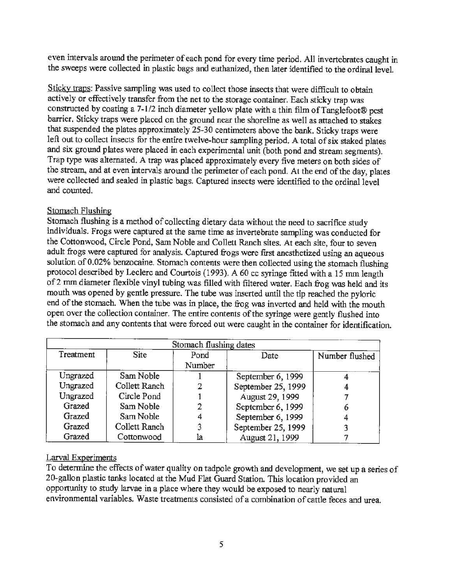even intervals around the perimeter of each pond for every time period. All invertebrates caught in the sweeps were collected in plastic bags and euthanized, then later identified to the ordinal level.

Sticky traps: Passive sampling was used to collect those insects that were difficult to obtain actively or effectively transfer from the net to the storage container. Each sticky trap was constructed by coating a 7-1/2 inch diameter yellow plate with a thin film of Tanglefoot® pest barrier. Sticky traps were placed on the ground near the shoreline as well as attached to stakes that suspended the plates approximately 25-30 centimeters above the bank. Sticky traps were left out to collect insects for the entire twelve-hour sampling period. A total of six staked plates and six ground plates were placed in each experimental unit (both pond and stream segments). Trap type was alternated. A trap was placed approximately every five meters on both sides of the stream, and at even intervals around the perimeter of each pond. At the end of the day, plates were collected and sealed in plastic bags. Captured insects were identified to the ordinal level and counted.

### Stomach Flushing

Stomach flushing is a method of collecting dietary data without the need to sacrifice study individuals. Frogs were captured at the same time as invertebrate sampling was conducted for the Cottonwood, Circle Pond, Sam Noble and Collett Ranch sites. At each site, four to seven adult frogs were captured for analysis. Captured frogs were first anesthetized using an aqueous solution of 0.02% benzocaine. Stomach contents were then collected using the stomach flushing protocol described by Leclerc and Courtois ( 1993 ). A 60 cc syringe fitted with a 15 mm length of2 mm diameter flexible vinyl tubing was filled with filtered water. Each frog was held and its mouth was opened by gentle pressure. The tube was inserted until the tip reached the pyloric end of the stomach. When the tube was in place, the frog was inverted and held with the mouth open over the collection container. The entire contents of the syringe were gently flushed into the stomach and any contents that were forced out were caught in the container for identification.

| Stomach flushing dates |               |                |                    |                |
|------------------------|---------------|----------------|--------------------|----------------|
| Treatment              | <b>Site</b>   | Pond<br>Number | Date               | Number flushed |
| Ungrazed               | Sam Noble     |                | September 6, 1999  |                |
| Ungrazed               | Collett Ranch |                | September 25, 1999 |                |
| Ungrazed               | Circle Pond   |                | August 29, 1999    |                |
| Grazed                 | Sam Noble     |                | September 6, 1999  |                |
| Grazed                 | Sam Noble     |                | September 6, 1999  |                |
| Grazed                 | Collett Ranch |                | September 25, 1999 |                |
| Grazed                 | Cottonwood    | la             | August 21, 1999    |                |

### Larval Experiments

To detennine the effects of water quality on tadpole growth and development, we set up a series of 20-gallon plastic tanks located at the Mud Flat Guard Station. This location provided an opportunity to study larvae in a place where they would be exposed to nearly natural environmental variables. Waste treatments consisted of a combination of cattle feces and urea.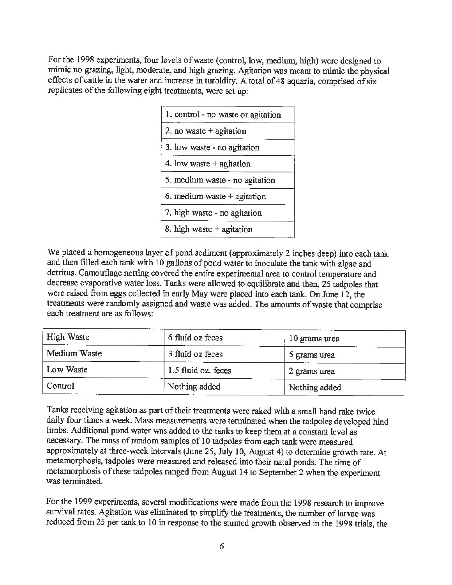For the 1998 experiments, four levels of waste (control, low, medium, high) were designed to mimic no grazing, light, moderate, and high grazing. Agitation was meant to mimic the physical effects of cattle in the water and increase in turbidity. A total of 48 aquaria, comprised of six replicates of the following eight treatments, were set up:

| 1. control - no waste or agitation |
|------------------------------------|
| 2. no waste $+$ agitation          |
| 3. low waste - no agitation        |
| 4. low waste $+$ agitation         |
| 5. medium waste - no agitation     |
| 6. medium waste $+$ agitation      |
| 7. high waste - no agitation       |
| 8. high waste $+$ agitation        |

We placed a homogeneous layer of pond sediment (approximately 2 inches deep) into each tank and then filled each tank with 10 gallons of pond water to inoculate the tank with algae and detritus. Camouflage netting covered the entire experimental area to control temperature and decrease evaporative water loss. Tanks were allowed to equilibrate and then, 25 tadpoles that were raised from eggs collected in early May were placed into each tank. On June 12, the treatments were randomly assigned and waste was added. The amounts of waste that comprise each treatment are as follows:

| High Waste   | 6 fluid oz feces    | 10 grams urea |  |
|--------------|---------------------|---------------|--|
| Medium Waste | 3 fluid oz feces    | 5 grams urea  |  |
| Low Waste    | 1.5 fluid oz. feces | 2 grams urea  |  |
| Control      | Nothing added       | Nothing added |  |

Tanks receiving agitation as part of their treatments were raked with a small hand rake twice daily four times a week. Mass measurements were terminated when the tadpoles developed hind limbs. Additional pond water was added to the tanks to keep them at a constant level as necessary. The mass of random samples of 10 tadpoles from each tank were measured approximately at three-week intervals (June 25, July 10, August 4) to determine growth rate. At metamorphosis, tadpoles were measured and released into their natal ponds. The time of metamorphosis of these tadpoles ranged from August 14 to September 2 when the experiment was terminated.

For the 1999 experiments, several modifications were made from the 1998 research to improve survival rates. Agitation was eliminated to simplify the treatments, the number of larvae was reduced from 25 per tank to 10 in response to the stunted growth observed in the 1998 trials, the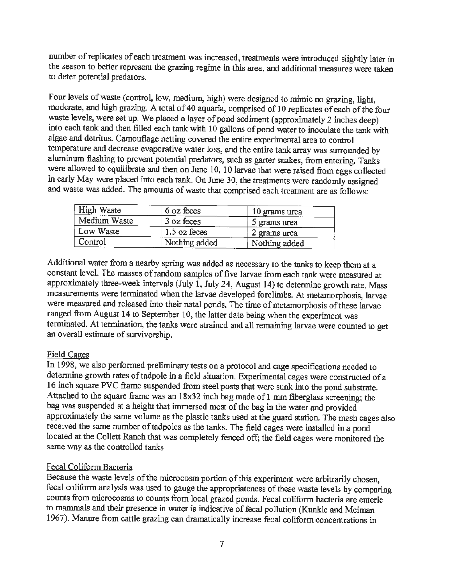number of replicates of each treatment was increased, treatments were introduced slightly later in the season to better represent the grazing regime in this area, and additional measures were taken to deter potential predators.

Four levels of waste (control, low, medium, high) were designed to mimic no grazing, light, moderate, and high grazing. A total of 40 aquaria, comprised of 10 replicates of each of the four waste levels, were set up. We placed a layer of pond sediment (approximately 2 inches deep) into each tank and then filled each tank with 10 gallons of pond water to inoculate the tank with algae and detritus. Camouflage netting covered the entire experimental area to control temperature and decrease evaporative water loss, and the entire tank array was surrounded by aluminum flashing to prevent potential predators, such as garter snakes, from entering. Tanks were allowed to equilibrate and then on June 10, 10 larvae that were raised from eggs collected in early May were placed into each tank. On June 30, the treatments were randomly assigned and waste was added. The amounts of waste that comprised each treatment are as follows:

| High Waste   | 6 oz feces     | 10 grams urea |
|--------------|----------------|---------------|
| Medium Waste | 3 oz feces     | 5 grams urea  |
| Low Waste    | $1.5$ oz feces | 2 grams urea  |
| Control      | Nothing added  | Nothing added |

Additional water from a nearby spring was added as necessary to the tanks to keep them at a constant level. The masses of random samples of five larvae from each tank were measured at approximately three-week intervals (July 1, July 24, August 14) to determine growth rate. Mass measurements were terminated when the larvae developed forelimbs. At metamorphosis, larvae were measured and released into their natal ponds. The time of metamorphosis of these larvae ranged from August 14 to September 10, the latter date being when the experiment was tenninated. At termination, the tanks were strained and all remaining larvae were counted to get an overall estimate of survivorship.

### Field Cages

In 1998, we also performed preliminary tests on a protocol and cage specifications needed to determine growth rates of tadpole in a field situation. Experimental cages were constructed of a 16 inch square PVC frame suspended from steel posts that were sunk into the pond substrate. Attached to the square frame was an 18x32 inch bag made of 1 mm fiberglass screening; the bag was suspended at a height that immersed most of the bag in the water and provided approximately the same volume as the plastic tanks used at the guard station. The mesh cages also received the same number of tadpoles as the tanks. The field cages were installed in a pond located at the Collett Ranch that was completely fenced off; the field cages were monitored the same way as the controlled tanks

### Fecal Coliform Bacteria

Because the waste levels of the microcosm portion of this experiment were arbitrarily chosen, fecal coliform analysis was used to gauge the appropriateness of these waste levels by comparing counts from microcosms to counts from local grazed ponds. Fecal coliform bacteria are enteric to mammals and their presence in water is indicative of fecal pollution (Kunkle and Meiman 1967). Manure from cattle grazing can dramatically increase fecal coliform concentrations in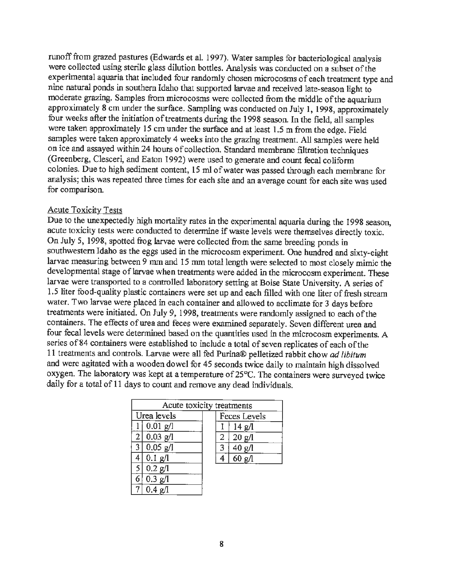runoff from grazed pastures (Edwards et al. 1997). Water samples for bacteriological analysis were collected using sterile glass dilution bottles. Analysis was conducted on a subset of the experimental aquaria that included four randomly chosen microcosms of each treatment type and nine natural ponds in southern Idaho that supported larvae and received late-season light to moderate grazing. Samples from microcosms were collected from the middle of the aquarium approximately 8 cm under the surface. Sampling was conducted on July 1, 1998, approximately four weeks after the initiation of treatments during the 1998 season. In the field, all samples were taken approximately 15 cm under the surface and at least 1.5 m from the edge. Field samples were taken approximately 4 weeks into the grazing treatment. All samples were held on ice and assayed within 24 hours of collection. Standard membrane filtration techniques (Greenberg, Clesceri, and Eaton 1992) were used to generate and count fecal coliform colonies. Due to high sediment content, 15 ml of water was passed through each membrane for analysis; this was repeated three times for each site and an average count for each site was used for comparison.

#### Acute Toxicity Tests

Due to the unexpectedly high mortality rates in the experimental aquaria during the 1998 season, acute toxicity tests were conducted to determine if waste levels were themselves directly toxic. On July 5, 1998, spotted frog larvae were collected from the same breeding ponds in southwestern Idaho as the eggs used in the microcosm experiment. One hundred and sixty-eight larvae measuring between 9 mm and 15 mm total length were selected to most closely mimic the developmental stage of larvae when treatments were added in the microcosm experiment. These larvae were transported to a controlled laboratory setting at Boise State University. A series of 1.5 liter food-quality plastic containers were set up and each filled with one liter of fresh stream water. Two larvae were placed in each container and allowed to acclimate for 3 days before treatments were initiated. On July 9, 1998, treatments were randomly assigned to each of the containers. The effects of urea and feces were examined separately. Seven different urea and four fecal levels were determined based on the quantities used in the microcosm experiments. A series of 84 containers were established to include a total of seven replicates of each of the 11 treatments and controls. Larvae were all fed Purina® pelletized rabbit chow *ad libitum*  and were agitated with a wooden dowel for 45 seconds twice daily to maintain high dissolved oxygen. The laboratory was kept at a temperature of 25°C. The containers were surveyed twice daily for a total of 11 days to count and remove any dead individuals.

|                | Acute toxicity treatments |  |   |                         |  |
|----------------|---------------------------|--|---|-------------------------|--|
|                | Urea levels               |  |   | Feces Levels            |  |
|                | $0.01$ g/l                |  |   | $14 \text{ g}/\text{l}$ |  |
|                | 2   0.03 g/l              |  | 2 | 20 g/l                  |  |
| $\overline{3}$ | $0.05$ g/l                |  | 3 | 40 g/l                  |  |
| 4              | $0.1$ g/l                 |  | 4 | $60$ g/l                |  |
| 5              | 0.2 g/l                   |  |   |                         |  |
| 6              | 0.3 g/l                   |  |   |                         |  |
|                | $0.4 \text{ g}/1$         |  |   |                         |  |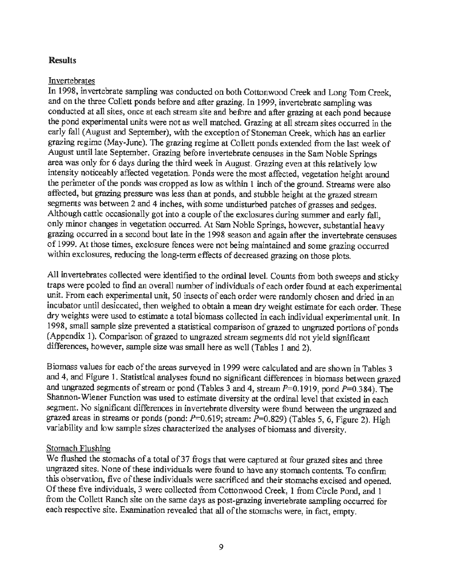### **Results**

#### Invertebrates

In 1998, invertebrate sampling was conducted on both Cottonwood Creek and Long Tom Creek, and on the three Collett ponds before and after grazing. In 1999, invertebrate sampling was conducted at all sites, once at each stream site and before and after grazing at each pond because the pond experimental units were not as well matched. Grazing at all stream sites occurred in the early fall (August and September), with the exception of Stoneman Creek, which has an earlier grazing regime (May-June). The grazing regime at Collett ponds extended from the last week of August until late September. Grazing before invertebrate censuses in the Sam Noble Springs area was only for 6 days during the third week in August. Grazing even at this relatively low intensity noticeably affected vegetation. Ponds were the most affected, vegetation height around the perimeter of the ponds was cropped as low as within 1 inch of the ground. Streams were also affected, but grazing pressure was less than at ponds, and stubble height at the grazed stream segments was between 2 and 4 inches, with some undisturbed patches of grasses and sedges. Although cattle occasionally got into a couple of the exclosures during summer and early fall, only minor changes in vegetation occurred. At Sam Noble Springs, however, substantial heavy grazing occurred in a second bout late in the 1998 season and again after the invertebrate censuses of 1999. At those times, exclosure fences were not being maintained and some grazing occurred within exclosures, reducing the long-term effects of decreased grazing on those plots.

All invertebrates collected were identified to the ordinal level. Counts from both sweeps and sticky traps were pooled to find an overall number of individuals of each order found at each experimental *unit.* From each experimental unit, SO insects of each order were randomly chosen and dried in an incubator until desiccated, then weighed to obtain a mean dry weight estimate for each order. These dry weights were used to estimate a total biomass collected in each individual experimental unit. In 1998, small sample size prevented a statistical comparison of grazed to ungrazed portions of ponds {Appendix 1 ). Comparison of grazed to ungrazed stream segments did not yield significant differences, however, sample size was small here as well (Tables I and 2).

Biomass values for each of the areas surveyed in 1999 were calculated and are shown in Tables 3 and 4, and Figure **1.** Statistical analyses found no significant differences in biomass between grazed and ungrazed segments of stream or pond (Tables 3 and 4, stream  $P=0.1919$ , pond  $P=0.384$ ). The Shannon-Wiener Function was used to estimate diversity at the ordinal level that existed in each segment. No significant differences in invertebrate diversity were found between the ungrazed and grazed areas in streams or ponds (pond:  $P=0.619$ ; stream:  $P=0.829$ ) (Tables 5, 6, Figure 2). High variability and low sample sizes characterized the analyses of biomass and diversity.

### Stomach Flushing

We flushed the stomachs of a total of 37 frogs that were captured at four grazed sites and three ungrazed sites. None of these individuals were found to have any stomach contents. To confirm this observation, five of these individuals were sacrificed and their stomachs excised and opened. Of these five individuals, 3 were collected from Cottonwood Creek, 1 from Circle Pond, and 1 from the Collett Ranch site on the same days as post-grazing invertebrate sampling occurred for each respective site. Examination revealed that all of the stomachs were, in fact, empty.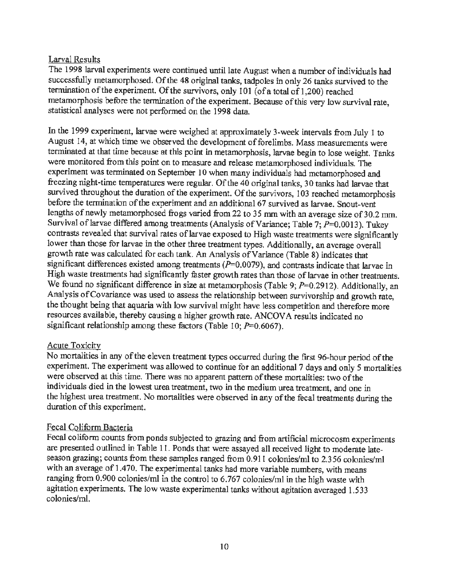### Larval Results

The 1998 larval experiments were continued until late August when a number of individuals had successfully metamorphosed. Of the 48 original tanks, tadpoles in only 26 tanks survived to the termination of the experiment. Of the survivors, only 101 (of a total of 1,200) reached metamorphosis before the tennination of the experiment. Because of this very low survival rate, statistical analyses were not performed on the 1998 data.

In the 1999 experiment, larvae were weighed at approximately 3-week intervals from July 1 to August 14, at which time we observed the development of forelimbs. Mass measurements were terminated at that time because at this point in metamorphosis, larvae begin to lose weight. Tanks were monitored from this point on to measure and release metamorphosed individuals. The experiment was terminated on September IO when many individuals had metamorphosed and freezing night-time temperatures were regular. Of the 40 original tanks, 30 tanks had larvae that survived throughout the duration of the experiment. Of the survivors, I 03 reached metamorphosis before the termination of the experiment and an additional 67 survived as larvae. Snout-vent lengths of newly metamorphosed frogs varied from 22 to 35 mm with an average size of 30.2 mm. Survival of larvae differed among treatments (Analysis of Variance; Table 7;  $P=0.0013$ ). Tukey contrasts revealed that survival rates of larvae exposed to High waste treatments were significantly lower than those for larvae in the other three treatment types. Additionally, an average overall growth rate was calculated for each tank. An Analysis of Variance (Table 8) indicates that significant differences existed among treatments  $(P=0.0079)$ , and contrasts indicate that larvae in High waste treatments had significantly faster growth rates than those of larvae in other treatments. We found no significant difference in size at metamorphosis (Table 9; P=0.2912). Additionally, an Analysis of Covariance was used to assess the relationship between survivorship and growth rate, the thought being that aquaria with low survival might have less competition and therefore more resources available, thereby causing a higher growth rate. ANCOVA results indicated no significant relationship among these factors (Table 10;  $P=0.6067$ ).

### Acute Toxicity

No mortalities in any of the eleven treatment types occurred during the first 96-hour period of the experiment. The experiment was allowed to continue for an additional 7 days and only 5 mortalities were observed at this time. There was no apparent pattern of these mortalities: two of the individuals died in the lowest urea treatment, two in the medium urea treatment, and one in the highest urea treatment. No mortalities were observed in any of the fecal treatments during the duration of this experiment.

### Fecal Coliform Bacteria

Fecal coliform counts from ponds subjected to grazing and from artificial microcosm experiments are presented outlined in Table 11. Ponds that were assayed all received light to moderate lateseason grazing; counts from these samples ranged from 0.911 colonies/ml to 2.356 colonies/ml with an average of 1.470. The experimental tanks had more variable numbers, with means ranging from 0.900 colonies/ml in the control to 6.767 colonies/ml in the high waste with agitation experiments. The low waste experimental tanks without agitation averaged 1.533 colonies/ml.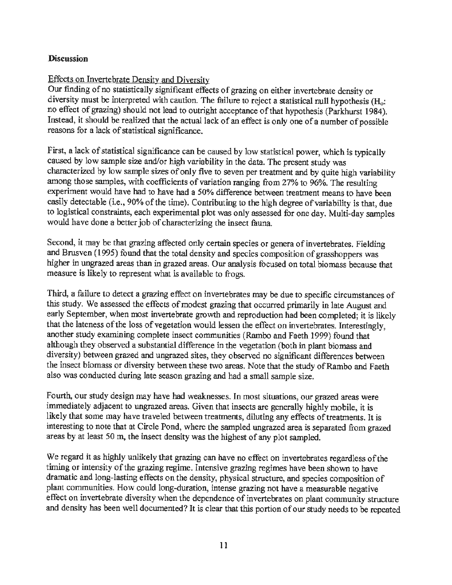### **Discussion**

### Effects on Invertebrate Density and Diversity

Our finding of no statistically significant effects of grazing on either invertebrate density or diversity must be interpreted with caution. The failure to reject a statistical null hypothesis (H<sub>o</sub>: no effect of grazing) should not lead to outright acceptance of that hypothesis (Parkhurst 1984). Instead, it should be realized that the actual lack of an effect is only one of a number of possible reasons for a lack of statistical significance.

First, a lack of statistical significance can be caused by low statistical power, which is typically caused by low sample size and/or high variability in the data. The present study was characterized by low sample sizes of only five to seven per treatment and by quite high variability among those samples, with coefficients of variation ranging from 27% to 96%. The resulting experiment would have had to have had a *SO%* difference between treatment means to have been easily detectable (i.e., 90% of the time). Contributing to the high degree of variability is that, due to logistical constraints, each experimental plot was only assessed for one day. Multi-day samples would have done a better job of characterizing the insect fauna.

Second, it may be that grazing affected only certain species or genera of invertebrates. Fielding and Brusven ( 1995) found that the total density and species composition of grasshoppers was higher in ungrazed areas than in grazed areas. Our analysis focused on total biomass because that measure is likely to represent what is available to frogs.

Third, a failure to detect a grazing effect on invertebrates may be due to specific circumstances of this study. We assessed the effects of modest grazing that occurred primarily in late August and early September, when most invertebrate growth and reproduction had been completed; it is likely that the lateness of the loss of vegetation would lessen the effect on invertebrates. Interestingly, another study examining complete insect communities (Rambo and Faeth 1999) found that although they observed a substantial difference in the vegetation (both in plant biomass and diversity) between grazed and ungrazed sites, they observed no significant differences between the insect biomass or diversity between these two areas. Note that the study of Rambo and Faeth also was conducted during late season grazing and had a small sample size.

Fourth, our study design may have had weaknesses. In most situations, our grazed areas were immediately adjacent to ungrazed areas. Given that insects are generally highly mobile, it is likely that some may have traveled between treatments, diluting any effects of treatments. It is interesting to note that at Circle Pond, where the sampled ungrazed area is separated from grazed areas by at least 50 m, the insect density was the highest of any plot sampled.

We regard it as highly unlikely that grazing can have no effect on invertebrates regardless of the timing or intensity of the grazing regime. Intensive grazing regimes have been shown to have dramatic and long-lasting effects on the density, physical structure, and species composition of plant communities. How could long-duration, intense grazing not have a measurable negative effect on invertebrate diversity when the dependence of invertebrates on plant community structure and density has been well documented? lt is clear that this portion of our study needs to be repeated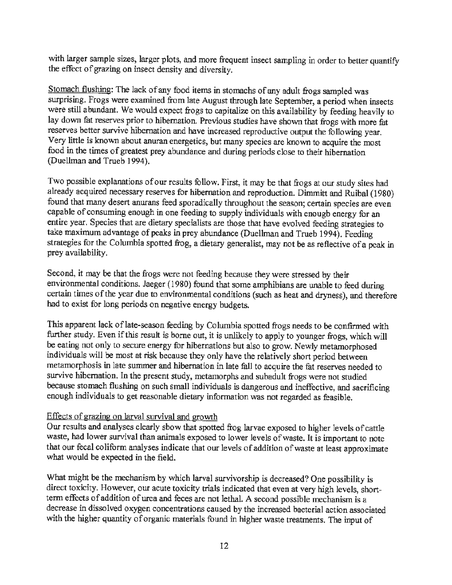with larger sample sizes, larger plots, and more frequent insect sampling in order to better quantify the effect of grazing on insect density and diversity.

Stomach flushing: The lack of any food items in stomachs of any adult frogs sampled was surprising. Frogs were examined from late August through late September, a period when insects were still abundant. We would expect frogs to capitalize on this availability by feeding heavily to lay down fat reserves prior to hibernation. Previous studies have shown that frogs with more fat reserves better survive hibernation and have increased reproductive output the following year. Very little is known about anuran energetics, but many species are known to acquire the most food in the times of greatest prey abundance and during periods close to their hibernation (Duellman and Trueb 1994).

Two possible explanations of our results follow. First, it may be that frogs at our study sites had already acquired necessary reserves for hibernation and reproduction. Dimmitt and Ruibal (1980) found that many desert anurans feed sporadically throughout the season; certain species are even capable of consuming enough in one feeding to supply individuals with enough energy for an entire year. Species that are dietary specialists are those that have evolved feeding strategies to take maximum advantage of peaks in prey abundance (Duelhnan and Trueb 1994). Feeding strategies for the Columbia spotted frog, a dietary generalist, may not be as reflective of a peak in prey availability.

Second, it may be that the frogs were not feeding because they were stressed by their environmental conditions. Jaeger ( 1980) found that some amphibians are unable to feed during certain times of the year due to environmental conditions (such as heat and dryness), and therefore had to exist for long periods on negative energy budgets.

This apparent lack of late-season feeding by Columbia spotted frogs needs to be confirmed with further study. Even if this result is borne out, it is unlikely to apply to younger frogs, which will be eating not only to secure energy for hibernations but also to grow. Newly metamorphosed individuals will be most at risk because they only have the relatively short period between metamorphosis in late summer and hibernation in late fall to acquire the fat reserves needed to survive hibernation. In the present study, metamorphs and subadult frogs were not studied because stomach flushing on such small individuals is dangerous and ineffective, and sacrificing enough individuals to get reasonable dietary information was not regarded as feasible.

#### Effects of grazing on larval survival and growth

Our results and analyses clearly show that spotted frog larvae exposed to higher levels of cattle waste, had lower survival than animals exposed to lower levels of waste. It is important to note that our fecal coliform analyses indicate that our levels of addition of waste at least approximate what would be expected in the field.

What might be the mechanism by which larval survivorship is decreased? One possibility is direct toxicity. However, our acute toxicity trials indicated that even at very high levels, shorttenn effects of addition of urea and feces are not lethal. A second possible mechanism is a decrease in dissolved oxygen concentrations caused by the increased bacterial action associated with the higher quantity of organic materials found in higher waste treatments. The input of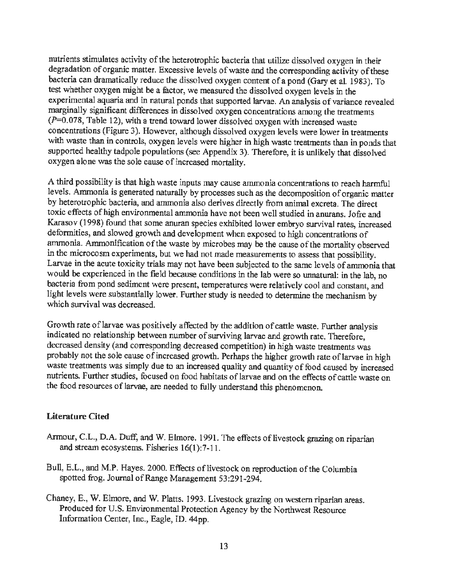nutrients stimulates activity of the heterotrophic bacteria that utilize dissolved oxygen in their degradation of organic matter. Excessive levels of waste and the corresponding activity of these bacteria can dramatically reduce the dissolved oxygen content of a pond (Gary et al. 1983). To test whether oxygen might be a factor, we measured the dissolved oxygen levels in the experimental aquaria and in natural ponds that supported larvae. An analysis of variance revealed marginally significant differences in dissolved oxygen concentrations among the treatments  $(P=0.078,$  Table 12), with a trend toward lower dissolved oxygen with increased waste concentrations (Figure 3). However, although dissolved oxygen levels were lower in treatments with waste than in controls, oxygen levels were higher in high waste treatments than in ponds that supported healthy tadpole populations (see Appendix 3). Therefore, it is unlikely that dissolved oxygen alone was the sole cause of increased mortality.

A third possibility is that high waste inputs may cause ammonia concentrations to reach harmful levels. Ammonia is generated naturally by processes such as the decomposition of organic matter by heterotrophic bacteria, and ammonia also derives directly from animal excreta. The direct toxic effects of high environmental ammonia have not been well studied in anurans. Jofre and Karasov (1998) found that some anuran species exhibited lower embryo survival rates, increased defonnities, and slowed growth and development when exposed to high concentrations of ammonia. Arnrnonification of the waste by microbes may be the cause of the mortality observed in the microcosm experiments, but we had not made measurements to assess that possibility. Larvae in the acute toxicity trials may not have been subjected to the same levels of ammonia that would be experienced in the field because conditions in the lab were so unnatural: in the lab, no bacteria from pond sediment were present, temperatures were relatively cool and constant, and light levels were substantially lower. Further study is needed to determine the mechanism by which survival was decreased.

Growth rate of larvae was positively affected by the addition of cattle waste. Further analysis indicated no relationship between number of surviving larvae and growth rate. Therefore, decreased density ( and corresponding decreased competition) in high waste treatments was probably not the sole cause of increased growth. Perhaps the higher growth rate of larvae in high waste treatments was simply due to an increased quality and quantity of food caused by increased nutrients. Further studies, focused on food habitats of larvae and on the effects of cattle waste on the food resources of larvae, are needed to fully understand this phenomenon.

#### **Literature Cited**

- Armour, C.L., D.A. Duff, and W. Elmore. 1991. The effects of livestock grazing on riparian and stream ecosystems. Fisheries 16(1):7-11.
- Bull, E.L., and M.P. Hayes. 2000. Effects of livestock on reproduction of the Columbia spotted frog. Journal of Range Management 53:291-294.
- Chaney, E., W. Elmore, and W. Platts. I 993. Livestock grazing on western riparian areas. Produced for U.S. Environmental Protection Agency by the Northwest Resource Information Center, Inc., Eagle, ID. 44pp.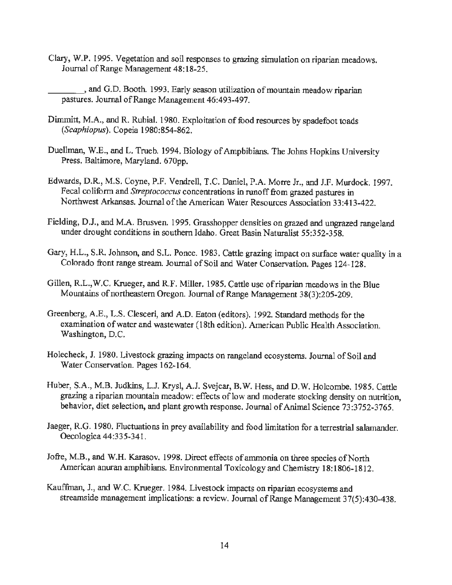Clary, W.P. 1995. Vegetation and soil responses to grazing simulation on riparian meadows. Journal of Range Management 48:18-25.

\_\_\_ , and G.D. Booth. 1993. Early season utilization of mountain meadow riparian pastures. Journal of Range Management 46:493-497.

- Dimmitt, M.A., and R. Rubial. 1980. Exploitation of food resources by spadefoot toads *(Scaphiopus).* Copeia 1980:854-862.
- Duellman, W.E., and L. Trueb. 1994. Biology of Amphibians. The Johns Hopkins University Press. Baltimore, Maryland. 670pp.
- Edwards, D.R, M.S. Coyne, P.F. Vendrell, T.C. Daniel, P.A. Morre Jr., and J.F. Murdock. 1997. Fecal coliform and *Streptococcus* concentrations in runoff from grazed pastures in Northwest Arkansas. Journal of the American Water Resources Association 33:413-422.
- Fielding, D.J., and M.A. Brusven. 1995. Grasshopper densities on grazed and ungrazed rangeland under drought conditions in southern Idaho. Great Basin Naturalist 55:352-358.
- Gary, H.L., S.R. Johnson, and S.L. Ponce. 1983. Cattle grazing impact on surface water quality in a Colorado front range stream. Journal of Soil and Water Conservation. Pages 124-128.
- Gillen, R.L.,W.C. Krueger, and R.F. Miller. 1985. Cattle use of riparian meadows in the Blue Mountains of northeastern Oregon. Journal of Range Management 38(3):205-209.
- Greenberg, A.E., L.S. Clesceri, and A.D. Eaton (editors). 1992. Standard methods for the examination of water and wastewater (18th edition). American Public Health Association. Washington, D.C.
- Holecheck, J. 1980. Livestock grazing impacts on rangeland ecosystems. Journal of Soil and Water Conservation. Pages 162·164.
- Huber, S.A., M.B. Judkins, L.J. Krysl, A.J. Svejcar, B.W. Hess, and D.W. Holcombe. 1985. Cattle grazing a riparian mountain meadow: effects of low and moderate stocking density on nutrition, behavior, diet selection, and plant growth response. Journal of Animal Science 73:3752-3765.
- Jaeger, R.G. 1980. Fluctuations in prey availability and food limitation for a terrestrial salamander. Oecologica 44:335-341.
- Jofre, M.B., and W.H. Karasov. 1998. Direct effects of ammonia on three species of North American anuran amphibians. Environmental Toxicology and Chemistry 18: 1806-1812.
- Kauffinan, J., and W.C. Krueger. 1984. Livestock impacts on riparian ecosystems and streamside management implications: a review. Journal of Range Management 37(5):430-438.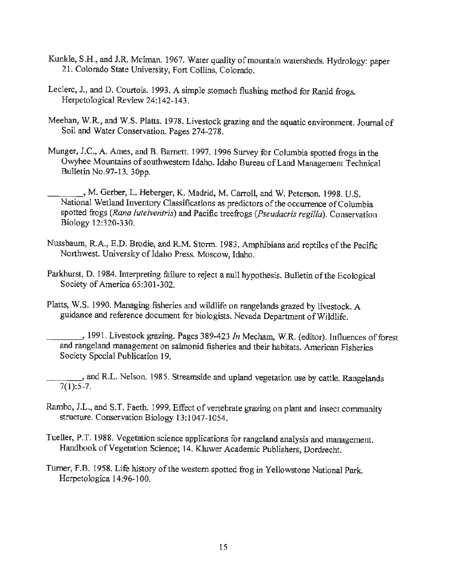- Kunkle, S.H., and J.R. Meiman. 1967. Water quality of mountain watersheds. Hydrology: paper 21. Colorado State University, Fort Collins, Colorado.
- Leclerc, J., and D. Courtois. 1993. A simple stomach flushing method for Ranid frogs. Herpetological Review 24:142-143.
- Meehan, W.R., and W.S. Platts. 1978. Livestock grazing and the aquatic environment. Journal of Soil and Water Conservation. Pages 274-278.
- Munger, J.C., A. Ames, and B. Barnett. 1997. 1996 Survey for Columbia spotted frogs in the Owyhee Mountains of southwestern Idaho. Idaho Bureau of Land Management Technical Bulletin No.97-13. 30pp.
	- \_\_\_ \_, M. Gerber, L. Heberger, K. Madrid, M. Carroll, and W. Peterson. 1998. U.S. National Wetland Inventory Classifications as predictors of the occurrence of Columbia spotted frogs *(Rana luteiventris)* and Pacific treefrogs *(Pseudacris regilla).* Conservation Biology 12:320-330.
- Nussbaum, R.A., E.D. Brodie, and R.M. Storm. 1983. Amphibians and reptiles of the Pacific Northwest. University of Idaho Press. Moscow, Idaho.
- Parkhurst, D. 1984. Interpreting failure to reject a null hypothesis. Bulletin of the Ecological Society of America 65:301-302.
- Platts, W.S. 1990. Managing fisheries and wildlife on rangelands grazed by livestock. A guidance and reference document for biologists. Nevada Department of Wildlife.
	- \_\_\_ , 1991. Livestock grazing. Pages 389-423 *In* Mecham, W.R. (editor). Influences of forest and rangeland management on salmonid fisheries and their habitats. American Fisheries Society Special Publication 19.
- \_, and R.L. Nelson. 1985. Streamside and upland vegetation use by cattle. Rangelands  $7(1):5-7.$
- Rambo, J.L., and S.T. Faeth. 1999. Effect of vertebrate grazing on plant and insect community structure. Conservation Biology 13:1047-1054.
- Tueller, P.T. 1988. Vegetation science applications for rangeland analysis and management. Handbook of Vegetation Science; 14. Kluwer Academic Publishers, Dordrecht.
- Turner, F.B. I 958. Life history of the western spotted frog in Yellowstone National Park. Herpetologica 14:96-100.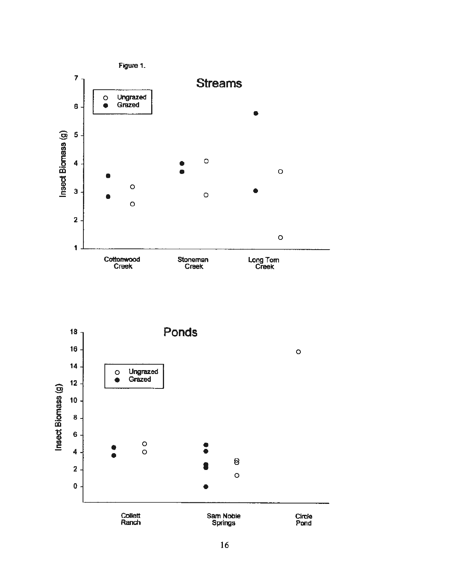

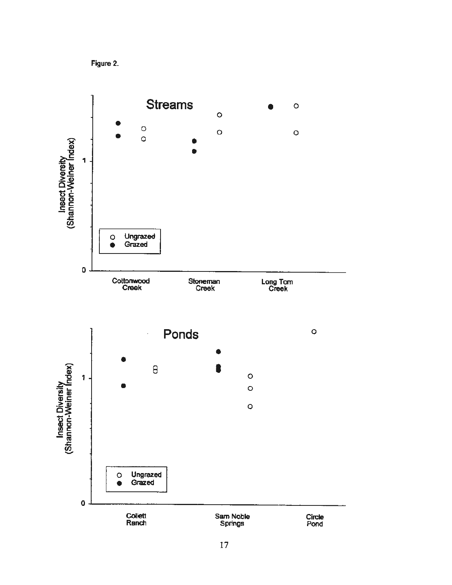

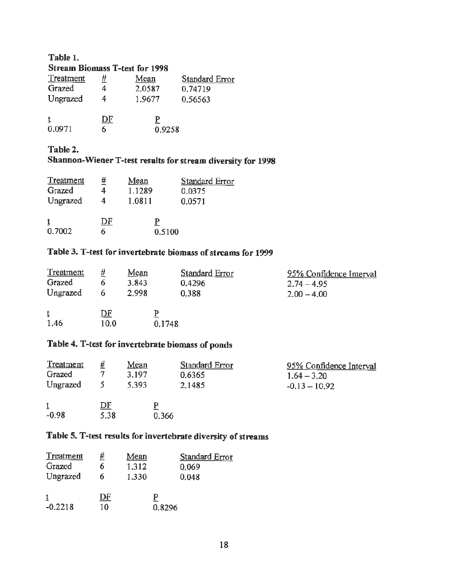#### **Table 1. Stream Biomass T-test for 1998**

|                  |    | ww. ww.iii <i>ist</i> villato i twil itti issit |                |
|------------------|----|-------------------------------------------------|----------------|
| <b>Treatment</b> | #  | Mean                                            | Standard Error |
| Grazed           |    | 2,0587                                          | 0.74719        |
| Ungrazed         |    | 1.9677                                          | 0.56563        |
|                  | DF |                                                 |                |
| 0.0971           | 6  | 0.9258                                          |                |

### **Table 2.**

### **Shannon-Wiener T-test results for stream diversity for 1998**

| <b>Treatment</b><br>Grazed | <u>#</u><br>4 | Mean<br>1.1289 | <b>Standard Error</b><br>0.0375 |
|----------------------------|---------------|----------------|---------------------------------|
| Ungrazed                   | 4             | 1.0811         | 0.0571                          |
| t<br>0.7002                | DF<br>6       | 0.5100         |                                 |

### **Table 3. T-test for invertebrate biomass of streams for 1999**

| Treatment | #    | Mean  | <b>Standard Error</b> | 95% Confidence Interval |
|-----------|------|-------|-----------------------|-------------------------|
| Grazed    |      | 3.843 | 0.4296                | $2.74 - 4.95$           |
| Ungrazed  |      | 2.998 | 0.388                 | $2.00 - 4.00$           |
| ţ.        | DF   |       | р                     |                         |
| 1.46      | 10.0 |       | 0.1748                |                         |

### Table 4. T-test for invertebrate biomass of ponds

| Treatment |                   | Mean  | <b>Standard Error</b> | 95% Confidence Interval |
|-----------|-------------------|-------|-----------------------|-------------------------|
| Grazed    |                   | 3.197 | 0.6365                | $1.64 - 3.20$           |
| Ungrazed  |                   | 5.393 | 2,1485                | $-0.13 - 10.92$         |
| $-0.98$   | <u>DF</u><br>5.38 | 0.366 |                       |                         |

### **Table 5. T-test results for invertebrate diversity of streams**

| Treatment | #  | Mean  | <b>Standard Error</b> |
|-----------|----|-------|-----------------------|
| Grazed    | 6  | 1.312 | 0,069                 |
| Ungrazed  | 6  | 1.330 | 0.048                 |
|           |    |       |                       |
|           | DF |       |                       |
| $-0.2218$ | 10 |       | 0.8296                |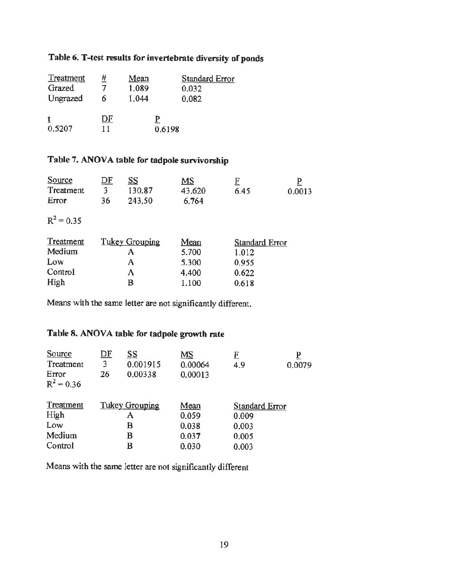### **Table 6. T-test results for invertebrate diversity of ponds**

| <b>Treatment</b> | #  | Mean  | <b>Standard Error</b> |
|------------------|----|-------|-----------------------|
| Grazed           |    | 1,089 | 0.032                 |
| Ungrazed         | 6  | 1.044 | 0.082                 |
|                  | DF |       |                       |
| 0.5207           |    |       |                       |
|                  |    |       | 0.6198                |

### Table 7. ANOVA table for tadpole survivorship

| <u>Source</u> | <u>DF</u> | <u>ss</u>             | MS     | $\mathbf{F}$   | P      |
|---------------|-----------|-----------------------|--------|----------------|--------|
| Treatment     | 3         | 130,87                | 43,620 | 6.45           | 0.0013 |
| Error         | 36        | 243,50                | 6.764  |                |        |
| $R^2 = 0.35$  |           |                       |        |                |        |
|               |           |                       |        |                |        |
| Treatment     |           | <b>Tukey Grouping</b> | Mean   | Standard Error |        |
| Medium        |           | A                     | 5.700  | 1.012          |        |
| Low           |           | A                     | 5.300  | 0.955          |        |
| Control       |           | A                     | 4.400  | 0.622          |        |

Means with the same letter are not significantly different.

### Table 8. ANOVA table for tadpole growth rate

| Source                | <u>DF</u> | <u>ss</u>             | MS      | E              | P      |
|-----------------------|-----------|-----------------------|---------|----------------|--------|
| Treatment             | 3         | 0.001915              | 0.00064 | 4.9            | 0.0079 |
| Error<br>$R^2 = 0.36$ | 26        | 0.00338               | 0.00013 |                |        |
| Treatment             |           | <b>Tukey Grouping</b> | Mean    | Standard Error |        |
| High                  |           | A                     | 0.059   | 0.009          |        |
| Low                   |           | В                     | 0.038   | 0.003          |        |
| Medium                |           | в                     | 0.037   | 0.005          |        |
| Control               |           | B                     | 0.030   | 0.003          |        |

Means with the same letter are not significantly different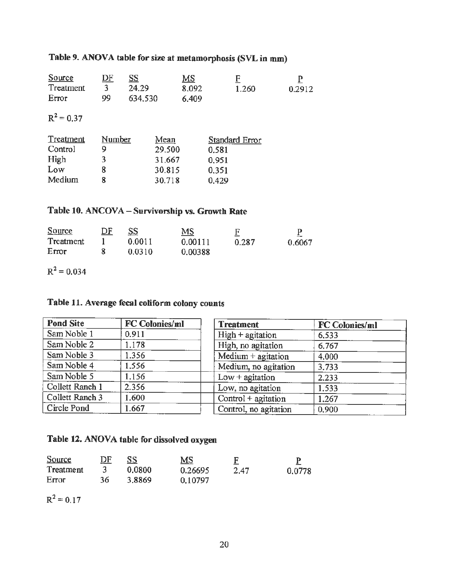### Table 9. ANOVA table for size at metamorphosis (SVL in mm)

| Source       | <u>DF</u> | <u>SS</u> | MS    |       |        |
|--------------|-----------|-----------|-------|-------|--------|
| Treatment    |           | 24.29     | 8.092 | 1.260 | 0.2912 |
| Error        | 99        | 634.530   | 6.409 |       |        |
|              |           |           |       |       |        |
| $R^2 = 0.37$ |           |           |       |       |        |

| Treatment | Number | Mean   | Standard Error |
|-----------|--------|--------|----------------|
| Control   |        | 29,500 | 0.581          |
| High      | ٦      | 31,667 | 0.951          |
| Low       |        | 30.815 | 0.351          |
| Medium    |        | 30.718 | 0.429          |

## Table 10. ANCOVA - Survivorship vs. Growth Rate

| Source    |        | MS      |       |        |
|-----------|--------|---------|-------|--------|
| Treatment | 0.0011 | 0.00111 | 0.287 | 0.6067 |
| Effor     | 0.0310 | 0.00388 |       |        |

 $R^2$  = 0.034

### **Table 11. Average fecal coliform colony counts**

| <b>Pond Site</b> | <b>FC Colonies/ml</b> | <b>Treatment</b>       | <b>FC Colonies/ml</b> |
|------------------|-----------------------|------------------------|-----------------------|
| Sam Noble 1      | 0.911                 | $High + agitation$     | 6,533                 |
| Sam Noble 2      | 1.178                 | High, no agitation     | 6.767                 |
| Sam Noble 3      | 1.356                 | Medium $+$ agitation   | 4,000                 |
| Sam Noble 4      | 1,556                 | Medium, no agitation   | 3.733                 |
| Sam Noble 5      | 1.156                 | $Low +$ agitation      | 2.233                 |
| Collett Ranch 1  | 2.356                 | Low, no agitation      | 1,533                 |
| Collett Ranch 3  | 1.600                 | $Control + a$ gitation | 1.267                 |
| Circle Pond      | 1.667                 | Control, no agitation  | 0,900                 |

### Table 12. ANOVA table for dissolved oxygen

| Source    | DF |        | MS      |      |        |
|-----------|----|--------|---------|------|--------|
| Treatment |    | 0.0800 | 0.26695 | 2.47 | 0.0778 |
| Error     | 36 | 3.8869 | 0.10797 |      |        |

 $R^2 = 0.17$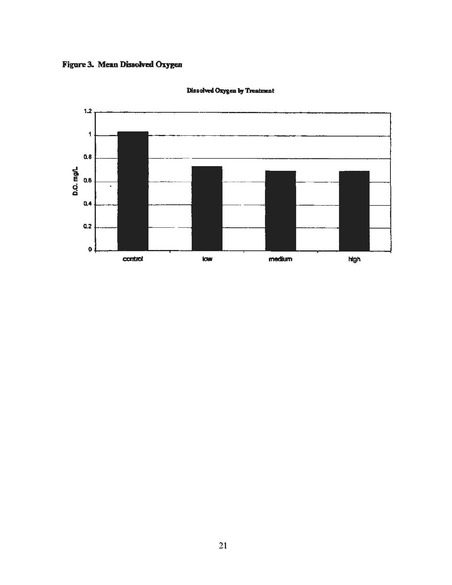Figure 3. Mean Dissolved Oxygen



Dissolved Oxygen by Treatment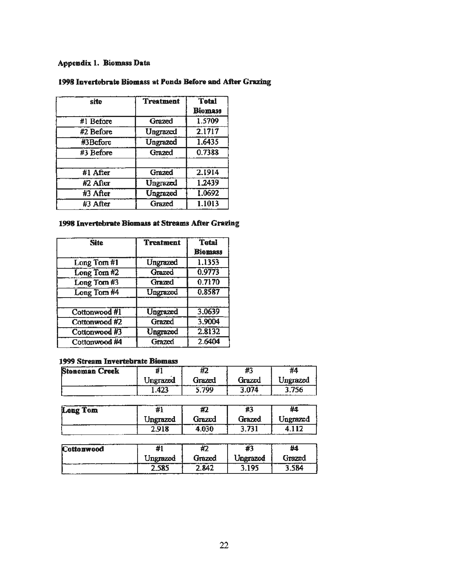### **Appendix 1. Biomass Data**

| site      | <b>Treatment</b> | <b>Total</b><br><b>Biomass</b> |
|-----------|------------------|--------------------------------|
| #1 Before | Grazed           | 1.5709                         |
| #2 Before | Ungrazed         | 2.1717                         |
| #3Before  | Ungrazed         | 1.6435                         |
| #3 Before | Grazed           | 0.7388                         |
|           |                  |                                |
| #1 After  | Grazed           | 2.1914                         |
| #2 After  | Ungrazed         | 1.2439                         |
| #3 After  | Ungrazed         | 1.0692                         |
| #3 After  | Grazed           | 1.1013                         |

#### **1998 Invertebrate Biomass at Ponds Before and After Grazing**

#### **1998 Invertebrate Biomass at Streams After Grazing**

| <b>Site</b>   | <b>Treatment</b> | <b>Total</b>   |
|---------------|------------------|----------------|
|               |                  | <b>Biomass</b> |
| Long Tom #1   | Ungrazed         | 1.1353         |
| Long Tom #2   | Grazed           | 0.9773         |
| Long Tom #3   | Grazed           | 0.7170         |
| Long Tom #4   | Ungrazed         | 0.8587         |
|               |                  |                |
| Cottonwood #1 | <b>Ungrazed</b>  | 3,0639         |
| Cottonwood #2 | Grazed           | 3.9004         |
| Cottonwood #3 | Ungrazed         | 2.8132         |
| Cottonwood #4 | Grazed           | 2.6404         |

#### **1999 Stream Invertebrate Biomass**

| <b>Stoneman Creek</b> |          |        | Æ.     | #4       |
|-----------------------|----------|--------|--------|----------|
|                       | Ungrazed | Grazed | Grazed | Ungrazed |
|                       |          | 799    | 3.074  | 756      |
|                       |          |        |        |          |
| ang Tam               |          |        |        | 44       |

| <b>Long Tom</b> | ,,,      | ᄳ<br>ŦZ | 49                 | #4       |
|-----------------|----------|---------|--------------------|----------|
|                 | Ungrazed | Grazed  | Grazed             | Ungrazed |
|                 | 2.918    | ា30     | $.73^{\circ}$<br>~ |          |

| <b>Cottonwood</b> |             | $\overline{\phantom{a}}$<br>H L | .        | #4              |
|-------------------|-------------|---------------------------------|----------|-----------------|
| $\cdots$          | Unerazed    | Grazed                          | Ungrazed | Grazed<br>----- |
|                   | roc<br>2.38 | 2.842                           | 195      | 84.ر            |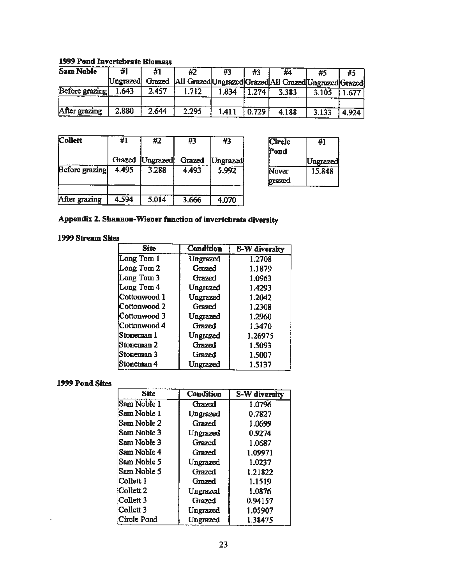#### 1999 Pond Invertebrate **Biomus**

| <b>Sam Noble</b> | #1<br>#1  |       | #2<br>#3                                                       |       | #3    | #4    | #5    | #5    |
|------------------|-----------|-------|----------------------------------------------------------------|-------|-------|-------|-------|-------|
|                  | Ungrazedi |       | Grazed   All Grazed Ungrazed Grazed All Grazed Ungrazed Grazed |       |       |       |       |       |
| Before grazing   | 1.643     | 2.457 | 1.712                                                          | 1.834 | 1.274 | 3.383 | 3.105 | .677  |
|                  |           |       |                                                                |       |       |       |       |       |
| After grazing    | 2.880     | 2.644 | 2.295                                                          | 1.411 | 0.729 | 4.188 | 3.133 | 4.924 |

| Collett        | #1    | #2                | #3     | #3         |  |  |
|----------------|-------|-------------------|--------|------------|--|--|
|                |       | Grazed [Ungrazed] | Grazed | [Ungrazed] |  |  |
| Before grazing | 4.495 | 3.288             | 4.493  | 5.992      |  |  |
| After grazing  | 4.594 | 5.014             | 3.666  | 4.070      |  |  |

| Circle | #1              |
|--------|-----------------|
| Pond   |                 |
|        | <b>Ungrazed</b> |
| Never  | 15.848          |
| grazed |                 |

### Appendix 2. Shannon-Wiener function of invertebrate diversity

### **1999 Stream Sites**

| <b>Site</b>  | <b>Condition</b> | S-W diversity |  |  |  |
|--------------|------------------|---------------|--|--|--|
| Long Tom 1   | Ungrazed         | 1.2708        |  |  |  |
| Long Tom 2   | Grazed           | 1.1879        |  |  |  |
| Long Tom 3   | Grazed           | 1.0963        |  |  |  |
| Long Tom 4   | Ungrazed         | 1.4293        |  |  |  |
| Cottonwood 1 | Ungrazed         | 1.2042        |  |  |  |
| Cottonwood 2 | Grazed           | 1.2308        |  |  |  |
| Cottonwood 3 | Ungrazed         | 1.2960        |  |  |  |
| Cottonwood 4 | Grazed           | 1.3470        |  |  |  |
| Stoneman 1   | Ungrazed         | 1.26975       |  |  |  |
| Stoneman 2   | Grazed           | 1.5093        |  |  |  |
| Stoneman 3   | Grazed           | 1.5007        |  |  |  |
| Stoneman 4   | Ungrazed         | 1.5137        |  |  |  |

#### **1999 Pond Sites**

| <b>Site</b> | <b>Condition</b> | S-W diversity |
|-------------|------------------|---------------|
| Sam Noble 1 | Grazed           | 1.0796        |
| Sam Noble 1 | Ungrazed         | 0.7827        |
| Sam Noble 2 | Grazed           | 1.0699        |
| Sam Noble 3 | Ungrazed         | 0.9274        |
| Sam Noble 3 | Grazed           | 1.0687        |
| Sam Noble 4 | Grazed           | 1.09971       |
| Sam Noble 5 | Ungrazed         | 1.0237        |
| Sam Noble 5 | Grazed           | 1.21822       |
| Collett I   | Grazed           | 1.1519        |
| Collett 2   | Ungrazed         | 1.0876        |
| Collett 3   | Grazed           | 0.94157       |
| Collett 3   | Ungrazed         | 1.05907       |
| Circle Pond | Ungrazed         | 1.38475       |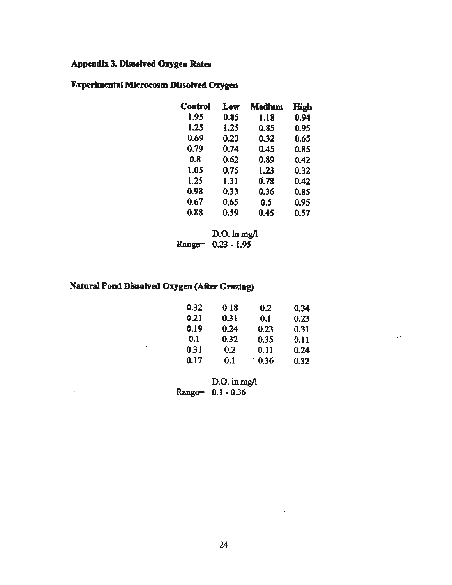### **Appendix** 3. **Dissolved Oxygen Rates**

### **Experimental Microcosm Dissolved Oxygen**

| <b>Control</b> | Low  | Medium | High |
|----------------|------|--------|------|
| 1.95           | 0.85 | 1.18   | 0.94 |
| 1.25           | 1.25 | 0.85   | 0.95 |
| 0.69           | 0.23 | 0.32   | 0.65 |
| 0.79           | 0.74 | 0.45   | 0.85 |
| 0.8            | 0.62 | 0.89   | 0.42 |
| 1.05           | 0.75 | 1.23   | 0.32 |
| 1.25           | 1.31 | 0.78   | 0.42 |
| 0.98           | 0.33 | 0.36   | 0.85 |
| 0.67           | 0.65 | 0.5    | 0.95 |
| 0.88           | 0.59 | 0.45   | 0.57 |

 $\overline{a}$ 

 $\bar{z}$ 

 $\mathbb{R}^3$ 

D.O. in mg/l Range= 0.23 - 1.95

### **Natani Pond Dissolved Oxygen (After Grazing)**

J.

 $\ddot{\phantom{0}}$ 

| 0.32 | 0.18 | 0.2  | 0.34 |
|------|------|------|------|
| 0.21 | 0.31 | 0.1  | 0.23 |
| 0.19 | 0.24 | 0.23 | 0.31 |
| 0.1  | 0.32 | 0.35 | 0.11 |
| 0.31 | 0.2  | 0.11 | 0.24 |
| 0.17 | 0.1  | 0.36 | 0.32 |

D.O. in mg/l Range= 0.1 -0.36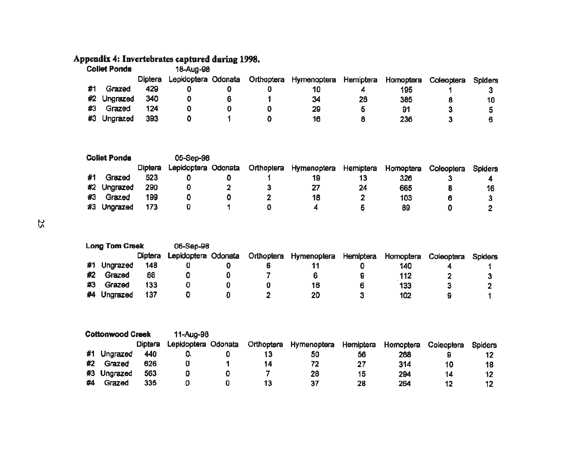#### **Appendix 4: Invertebrates captured during 1998.**

| <b>Collet Ponds</b> |             |                | 18-Aug-98           |   |            |             |           |           |            |         |
|---------------------|-------------|----------------|---------------------|---|------------|-------------|-----------|-----------|------------|---------|
|                     |             | <b>Diptera</b> | Lepidoptera Odonata |   | Orthoptera | Hymenoptera | Hemiptera | Homoptera | Coleoptera | Spiders |
|                     | Grazed      | 429            |                     |   |            |             |           | 195       |            |         |
|                     | #2 Ungrazed | 340            |                     | 6 |            | 34          | 28        | 385       |            | 10      |
| #3                  | Grazed      | 124            |                     |   |            | 29          | 5         | 91        |            |         |
| #3                  | Ungrazed    | 393            |                     |   |            | 16          | 8         | 236       |            |         |

| <b>Collet Ponds</b> |             |         | 05-Sep-98           |            |             |           |           |            |         |
|---------------------|-------------|---------|---------------------|------------|-------------|-----------|-----------|------------|---------|
|                     |             | Diptera | Lepidoptera Odonata | Orthoptera | Hymenoptera | Hemiptera | Homoptera | Coleoptera | Spiders |
|                     | Grazed      | 523     |                     |            |             | 13        | 326       |            |         |
|                     | #2 Ungrazed | 290     |                     |            | 27          | 24        | 665       |            | 16      |
| #3                  | Grazed      | 199     |                     |            | 18          |           | 103       | 6          |         |
| #3                  | Ungrazed    | 173     |                     |            |             |           | 89        |            |         |

I',) Vl

|    | <b>Long Tom Creek</b> |                | 06-Sep-98           |  |                                  |   |           |            |                |
|----|-----------------------|----------------|---------------------|--|----------------------------------|---|-----------|------------|----------------|
|    |                       | <b>Diptera</b> | Lepidoptera Odonata |  | Orthoptera Hymenoptera Hemiptera |   | Homoptera | Coleoptera | <b>Spiders</b> |
| #1 | Ungrazed              | 148            |                     |  |                                  |   | 140       |            |                |
| #2 | Grazed                | 88             |                     |  |                                  |   | 112       |            |                |
| #3 | Grazed                | 133            |                     |  | 16                               | 6 | 133       | З          |                |
| #4 | Ungrazed              | 137            |                     |  | 20                               |   | 102       |            |                |

| <b>Cottonwood Creek</b> |             |                | 11-Aug-98           |            |             |           |           |            |                |
|-------------------------|-------------|----------------|---------------------|------------|-------------|-----------|-----------|------------|----------------|
|                         |             | <b>Diptera</b> | Lepidoptera Odonata | Orthoptera | Hymenoptera | Hemiptera | Homoptera | Coleoptera | <b>Spiders</b> |
| #1                      | Ungrazed    | 440            | U.                  |            | 50          | 56        | 268       |            |                |
| #2                      | Grazed      | 626            |                     | 14         | 72          | 27        | 314       | 10         | 18             |
|                         | #3 Ungrazed | 563            |                     |            | 28          | 15        | 294       | 14         | 12             |
| #4                      | Grazed      | 335            |                     |            | 37          | 28        | 264       | 12         |                |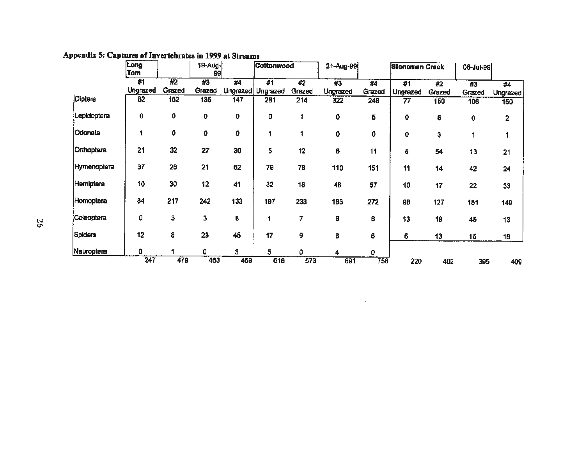|                | Long<br>Tom    |              | 19-Aug-<br>99 |     | Cottonwood              |                  | 21-Aug-99      |              | <b>Stoneman Creek</b> |              | 08-Jul-99    |                         |
|----------------|----------------|--------------|---------------|-----|-------------------------|------------------|----------------|--------------|-----------------------|--------------|--------------|-------------------------|
|                | #1<br>Ungrazed | #2<br>Grazed | #3<br>Grazed  | #4  | #1<br>Ungrazed Ungrazed | #2<br>Grazed     | #3<br>Ungrazed | #4<br>Grazed | #1<br>Ungrazed        | #2<br>Grazed | #3<br>Grazed | #4<br><b>Ungrazed</b>   |
| Diptera        | 82             | 162          | 135           | 147 | 281                     | $\overline{214}$ | 322            | 248          | $\overline{77}$       | 150          | 106          | 150                     |
| Lepidoptera    | 0              | 0            | 0             | 0   | 0                       |                  | 0              | 5            | 0                     | 6            | 0            | $\overline{\mathbf{2}}$ |
| <b>Odonata</b> | 1              | 0            | 0             | 0   | 1                       |                  | 0              | 0            | 0                     | 3            |              |                         |
| Orthoptera     | 21             | 32           | 27            | 30  | 5                       | 12               | 8              | 11           | 5                     | 54           | 13           | 21                      |
| Hymenoptera    | 37             | 26           | 21            | 62  | 79                      | 76               | 110            | 151          | 11                    | 14           | 42           | 24                      |
| Hemiptera      | 10             | 30           | 12            | 41  | 32                      | 18               | 48             | 57           | 10                    | 17           | 22           | 33                      |
| Homoptera      | 84             | 217          | 242           | 133 | 197                     | 233              | 183            | 272          | 98                    | 127          | 151          | 140                     |
| Coleoptera     | 0              | 3            | з             | 8   | 1                       | 7                | 8              | 8            | 13                    | 18           | 45           | 13                      |
| <b>Spiders</b> | 12             | 8            | 23            | 45  | 17                      | 9                | 8              | 6            | 6                     | 13           | 15           | 16                      |
| Neuroptera     | 0              |              | ۵             | 3   | 5                       | U                | 4              | 0            |                       |              |              |                         |
|                | 247            | 479          | 463           | 469 | 618                     | 573              | 691            | 756          | 220                   | 402          | 395          | 409                     |

**All Control** 

### Appendix 5: Captures of Invertebrates in 1999 at Streams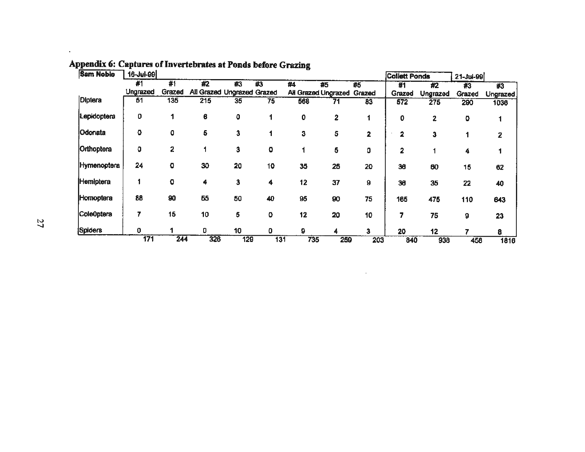| <b>Sam Noble</b>   | 16-Jul-99      |              |                                  | <b>Collett Ponds</b> |                                  | $21 - Ju - 99$ |                                  |     |               |                              |               |                  |
|--------------------|----------------|--------------|----------------------------------|----------------------|----------------------------------|----------------|----------------------------------|-----|---------------|------------------------------|---------------|------------------|
|                    | #1<br>Ungrazed | #1<br>Grazed | #2<br>All Grazed Ungrazed Grazed | #3                   | $\overline{\boldsymbol{\kappa}}$ | #4             | #5                               | #5  | #1            | #2                           | #3            | #3               |
| Diptera            | 51             | 135          | 215                              | 35                   | 75                               | 568            | All Grazed Ungrazed Grazed<br>71 | 83  | Grazed<br>572 | Ungrazed<br>$\overline{275}$ | Grazed<br>290 | Ungrazed<br>1036 |
| Lepidoptera        | 0              |              | 6                                | 0                    |                                  | 0              | 2                                |     | 0             | 2                            | ٥             |                  |
| Odonata            | o              | o            | 5                                | 3                    |                                  | 3              | 5                                | 2   | 2             | 3                            |               | 2                |
| Orthoptera         | 0              | $\mathbf{z}$ |                                  | 3                    | o                                |                | 5                                | 0   | 2             |                              |               |                  |
| <b>Hymenoptera</b> | 24             | ٥            | 30                               | 20                   | 10                               | 35             | 25                               | 20  | 36            | 60                           | 15            | 62               |
| Hemiptera          |                | ۰            | 4                                | 3                    | 4                                | 12             | 37                               | 9   | 36            | 35                           | 22            | 40               |
| Homoptera          | 88             | 90           | 65                               | 50                   | 40                               | 95             | 90                               | 75  | 165           | 475                          | 110           | 643              |
| ColeOptera         | 7              | 15           | 10                               | 5                    | ٥                                | 12             | 20                               | 10  | 7             | 75                           | 9             | 23               |
| <b>Spiders</b>     | 0              |              | 0                                | 10                   | ٥                                | ٥              |                                  | 3   | 20            | 12                           |               | 8                |
|                    | 171            | 244          | 326                              | 129                  | 131                              | 735            | 259                              | 203 | 840           | 938                          | 458           | 1816             |

 $\sim 10^{11}$  km s  $^{-1}$ 

# Appendix 6: Captures of Invertebrates at Ponds before Grazing

 $\epsilon$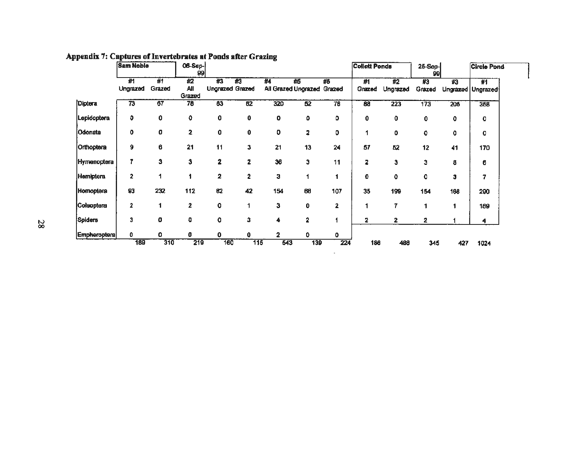|                  | <b>Sam Noble</b>        |                 | 06-Sep-<br>99    |                              |                         |                                  |                 |     | <b>Collett Ponds</b> |                | 25-Sep-<br>99 |              | <b>Circle Pond</b>     |  |
|------------------|-------------------------|-----------------|------------------|------------------------------|-------------------------|----------------------------------|-----------------|-----|----------------------|----------------|---------------|--------------|------------------------|--|
|                  | 剃<br>Ungrazed           | #1<br>Grazed    | #2<br><b>All</b> | #3<br><b>Ungrazed Grazed</b> | #3                      | #4<br>All Grazed Ungrazed Grazed | #5              | #5  | #1<br>Grazed         | #2<br>Ungrazed | #3<br>Grazed  | #3           | 豣<br>Ungrazed Ungrazed |  |
| Diptera          | 73                      | $\overline{67}$ | Grazed<br>78     | $\overline{63}$              | $\overline{62}$         | 320                              | $\overline{52}$ | 76  | 88                   | 223            | 173           | 206          | 358                    |  |
| Lepidoptera      | $\mathbf{o}$            | 0               | 0                | 0                            | 0                       | 0                                | ٥               | ٥   | 0                    | 0              | 0             | $\mathbf{o}$ | 0                      |  |
| Odonata          | 0                       | o               | 2                | 0                            | 0                       | 0                                | 2               | 0   |                      | $\mathbf{0}$   | 0             | 0            | 0                      |  |
| Orthoptera       | 9                       | 6               | 21               | 11                           | 3                       | 21                               | 13              | 24  | 57                   | 52             | 12            | 41           | 170                    |  |
| Hymenoptera      | 7                       | 3               | 3                | $\overline{\mathbf{2}}$      | $\mathbf{z}$            | 36                               | Э               | 11  | 2                    | 3              | з             | 8            | 6                      |  |
| <b>Hemiptera</b> | $\overline{2}$          |                 |                  | $\mathbf{2}$                 | $\overline{\mathbf{2}}$ | 3                                |                 |     | 0                    | $\mathbf{o}$   | $\mathbf 0$   | 3            | 7                      |  |
| Homoptera        | 93                      | 232             | 112              | 62                           | 42                      | 154                              | 66              | 107 | 35                   | 199            | 154           | 168          | 290                    |  |
| Coleoptera       | $\overline{\mathbf{2}}$ |                 | 2                | 0                            | 1                       | 3                                | 0               | 2   |                      | 7              |               |              | 189                    |  |
| Spiders          | 3                       | 0               | O                | 0                            | 3                       | 4                                | 2               |     | 2.                   | 2              | 2             |              | 4                      |  |
| Empheroptera     | o                       | 0               | o                | Ω                            | 0                       | 2                                | 0.              | 0   |                      |                |               |              |                        |  |
|                  | 189                     | 310             | 219              | 160                          | 115                     | 543                              | 139             | 224 | 186                  | 480            | 345           | 427          | 1024                   |  |

 $\mathcal{L}_{\mathcal{A}}$ 

### Appendix 7: Captures of Invertebrates at Ponds after Grazing